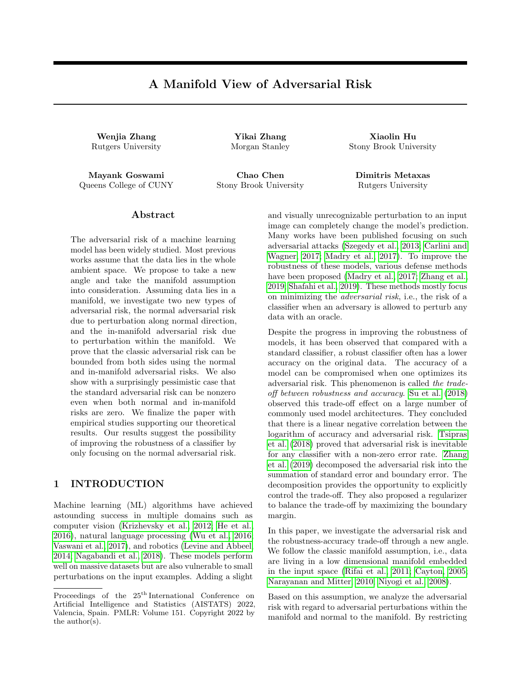# A Manifold View of Adversarial Risk

Wenjia Zhang Yikai Zhang Xiaolin Hu

Queens College of CUNY Stony Brook University Rutgers University

Mayank Goswami Chao Chen Dimitris Metaxas

Rutgers University Morgan Stanley Stony Brook University

### Abstract

The adversarial risk of a machine learning model has been widely studied. Most previous works assume that the data lies in the whole ambient space. We propose to take a new angle and take the manifold assumption into consideration. Assuming data lies in a manifold, we investigate two new types of adversarial risk, the normal adversarial risk due to perturbation along normal direction, and the in-manifold adversarial risk due to perturbation within the manifold. We prove that the classic adversarial risk can be bounded from both sides using the normal and in-manifold adversarial risks. We also show with a surprisingly pessimistic case that the standard adversarial risk can be nonzero even when both normal and in-manifold risks are zero. We finalize the paper with empirical studies supporting our theoretical results. Our results suggest the possibility of improving the robustness of a classifier by only focusing on the normal adversarial risk.

### 1 INTRODUCTION

Machine learning (ML) algorithms have achieved astounding success in multiple domains such as computer vision (Krizhevsky et al., 2012; He et al., 2016), natural language processing [\(Wu et al., 2016;](#page-9-0) [Vaswani et al., 2017\)](#page-9-1), and robotics (Levine and Abbeel, 2014; Nagabandi et al., 2018). These models perform well on massive datasets but are also vulnerable to small perturbations on the input examples. Adding a slight and visually unrecognizable perturbation to an input image can completely change the model's prediction. Many works have been published focusing on such adversarial attacks [\(Szegedy et al., 2013;](#page-9-2) Carlini and Wagner, 2017; Madry et al., 2017). To improve the robustness of these models, various defense methods have been proposed (Madry et al., 2017; [Zhang et al.,](#page-9-3) [2019;](#page-9-3) [Shafahi et al., 2019\)](#page-9-4). These methods mostly focus on minimizing the adversarial risk, i.e., the risk of a classifier when an adversary is allowed to perturb any data with an oracle.

Despite the progress in improving the robustness of models, it has been observed that compared with a standard classifier, a robust classifier often has a lower accuracy on the original data. The accuracy of a model can be compromised when one optimizes its adversarial risk. This phenomenon is called the tradeoff between robustness and accuracy. [Su et al.](#page-9-5) [\(2018\)](#page-9-5) observed this trade-off effect on a large number of commonly used model architectures. They concluded that there is a linear negative correlation between the logarithm of accuracy and adversarial risk. [Tsipras](#page-9-6) [et al.](#page-9-6) [\(2018\)](#page-9-6) proved that adversarial risk is inevitable for any classifier with a non-zero error rate. [Zhang](#page-9-3) [et al.](#page-9-3) [\(2019\)](#page-9-3) decomposed the adversarial risk into the summation of standard error and boundary error. The decomposition provides the opportunity to explicitly control the trade-off. They also proposed a regularizer to balance the trade-off by maximizing the boundary margin.

In this paper, we investigate the adversarial risk and the robustness-accuracy trade-off through a new angle. We follow the classic manifold assumption, i.e., data are living in a low dimensional manifold embedded in the input space (Rifai et al., 2011; Cayton, 2005; Narayanan and Mitter, 2010; Niyogi et al., 2008).

Based on this assumption, we analyze the adversarial risk with regard to adversarial perturbations within the manifold and normal to the manifold. By restricting

Proceedings of the  $25<sup>th</sup>$  International Conference on Artificial Intelligence and Statistics (AISTATS) 2022, Valencia, Spain. PMLR: Volume 151. Copyright 2022 by the author(s).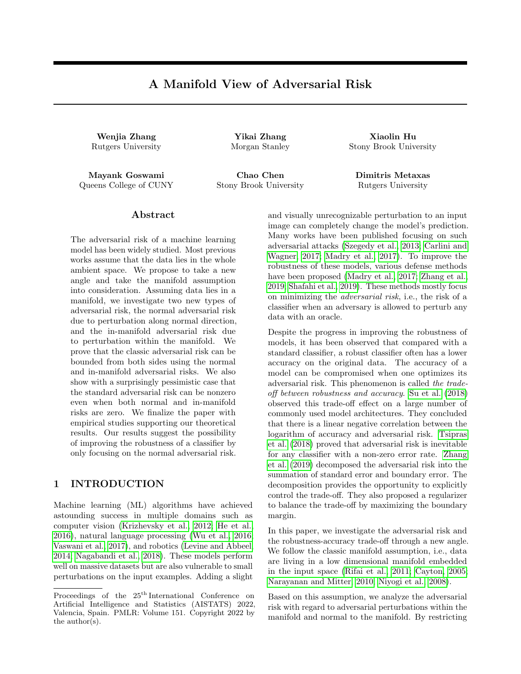to in-manifold and normal perturbations, we dene the in-manifold adversarial risk and normal adversarial risk. Using these new risks, together with the standard risk, we prove an upper bound and a lower bound for the adversarial risk. We also show that the bound is tight by constructing a pessimistic case. We validate our theoretical results using synthetic experiments.

Our study sheds light on a new aspect of the robustnessaccuracy trade-o. Through the decomposition into in-manifold and normal adversarial risks, we might nd an extra margin to exploit without confronting the trade-o. Future work will include developing normal adversarial training algorithms for real-world datasets.

#### 1.1 Related Works

Robustness-accuracy Trade-o There are several works studying the trade-o between robustness and accuracy [\(Tsipras et al.](#page-9-6), [2018](#page-9-6)[; Su et al., 201](#page-9-5)[8; Zhan](#page-9-3)g [et al., 2019](#page-9-3); Dohmatob, 2019). The basic question is whether the trade-o actually exists. i.e. is there a classier that is both accurate and robust? Empirical and theoretical proofs showed that actual trade-o does exist even in the in nite data limit ([Tsipras et al., 2](#page-9-6)018; Su et al., 2018; Zhang et al., 2019). Dohmatob (2019) showed that a high accuracy model can inevitably be fooled by the adversarial attack. Zhang et al. (2019) gave examples showing that the Bayes optimal classier may not be robust.

However, some works have di erent views on this tradeo or even its existence. In contrast to the idea that the trade-o is unavoidable, these works argued that a lack of sucient optimization methods (Awasthi et al., 2019; Rice et al., 2020; Shaham et al., 2018) or better network architecture (Guo et al., 2020; Fawzi et al., 2018) causes the drop in accuracy, instead of the increase in robustness. Yang et al. (2020) showed the existence of both robust and accurate classiers and argued that the trade-o is in
uenced by the training algorithm to optimize the model. They investigated distributionally separated dataset and claimed that the gap between robustness and accuracy arises from the lack of a training method that imposes local Lipschitzness on the classier. Remarkably, in (Gowal et al., 2020; Raghunathan et al., 2020; Carmon et al., 2019), it was shown that with certain augmentation of the dataset, one may be able to obtain a model that is both accurate and robust.

Manifold Assumption One important line of research focuses on the manifold assumption on the data distribution. This assumption suggests that observed data is distributed on a low dimensional manifold (Rifai et al., 2011; Cayton, 2005; Narayanan and Mitter, 2010) and there exists a mapping that embeds the low dimension manifold in some higher dimension space. Traditional manifold learning methods (Tenenbaum et al., 2000; Saul and Roweis, 2003) try to recover the embedding by assuming the mapping preserves certain properties like distances or local angles. Following this assumption, on the topic of robustness, Tanay and Grin (2016) showed the existence of adversarial attack on the 
at manifold with linear classication boundary. It was proved later in Gilmer et al. (2018) that in-manifold adversarial examples exist. They stated that high dimension data is highly sensitive to  $I_2$ perturbations and pointed out the nature of adversarial is the issue with potential decision boundary. Later, Stutz et al. (2019) showed that with the manifold assumption, regular robustness is correlated with inmanifold adversarial examples, and therefore, accuracy and robustness may not be contradictory goals. Further discussion (Xie et al., 2020) even suggested that adding adversarial examples in the training process can improve the accuracy of the model. Lin et al. (2020) used perturbation within a latent space to approximate in-manifold perturbation. To the best of our knowledge, no existing work discussed normal perturbation and normal adversarial risk as we do. We are also unaware of any theoretical results proving upper/lower bounds for adversarial risk in the manifold setting.

We also note a classic manifold reconstruction problem, i.e., reconstructing ad-dimensional manifold given a set of points sampled from the manifold. A large group of classical algorithms (Edelsbrunner and Shah, 1994; Dey and Goswami, 2006; Niyogi et al., 2008) are provably good, i.e., they give a guarantee of reproducing the manifold topology with a suciently large number of sample points.

# 2 MANIFOLD BASED RISK DECOMPOSITION

In this section, we state our main theoretical result 3, which decomposes the adversarial risk into appropriately dened normal and in-manifold or tangential risks. We rst de ne these quantities and set up basic notation, with the main theorem following in Section 2.3. For the sake of simplicity, we describe our main theorem in the setting of binary  $f - 1$ ; 1g labels.

#### 2.1 Data Manifold

Let  $(R^D; jjjj)$  denote the D dimensional Euclidean space with `2-norm. For x 2  $R^D$ , B (x) be the open ball of radius r in R<sup>D</sup> with center at x. For a set A  $\mathsf{R}^{\mathsf{D}}$ , de ne B  $(\mathsf{A}) = \mathsf{f} \mathsf{y} : 9 \mathsf{x} \mathsf{2} \mathsf{A}; \mathsf{d}(\mathsf{x}; \mathsf{y}) < \mathsf{g}.$ 

Let M  $R^D$  be a d-dimensional compact smooth manifold embedded in $R^{\textsf{D}}$  . Thus for any x 2 M there is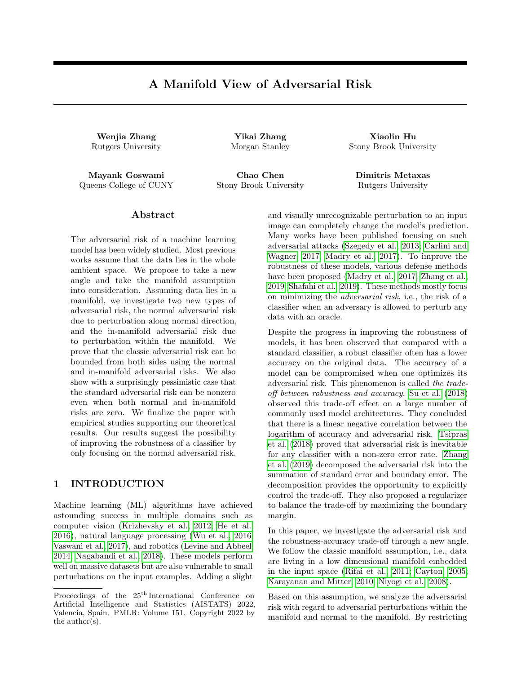## Figure 1: Tangential and Normal Space

a corresponding coordinate chart  $U$ ; g) where  $U$  3 x is a open set ofM and g is a homeomorphism fromU to a subset of $\mathsf{R}^\mathsf{d}$ . For x 2 M , we let  $\mathsf{T}_\mathsf{x}\mathsf{M}\;$  and  $\mathsf{N}_\mathsf{x}\mathsf{M}\;$  denote the tangent and normal spaces atx. Intuitively, the tangent space $T_x$ M is the space of tangent directions, or equivalence classes of curves in passing through x, with two curves considered equivalent if they are tangent at x. The normal space  $N_xM$  is the set of vectors in  $\mathsf{R}^\mathsf{D}$  that are orthogonal to any vector in  $\mathsf{T}_\mathsf{x} \mathsf{M}$  . Since M is a smooth d-manifold,  $T_xM$  and  $N_xM$  are d and D d dimensional vector spaces, respectively. See Figure 2.1. For detailed de nitions, we refer the reader to Bredon (2013).

We assume that the data and (binary) label pairs are drawn from M f 1; 1g according to some unknown distribution  $p(x; y)$ . Note that M is unknown. A score function f (x) is a continuous function from  $R^D$  to [0; 1]. We denote by  $1(A)$  the indicator function of the event A that is 1 if A occurs and 0 ifA does not occur, and will use it to represent the 0-1 loss.

#### 2.2 Robustness and Risk

Given data from M f 1; 1g drawn according to p and a classi er f on  $\mathsf{R}^\mathsf{D}$ , we de ne three types of risks. The rst, adversarial risk, has been extensively studied in machine learning literature:

De nition 1 (Adversarial Risk). Given  $> 0$ , de ne the adversarial risk of classier f with budget to be

$$
R_{adv}(f; ) := \underset{(x,y) \ p}{E} \underset{p}{1}(9x^{0}2 B (x) : f (x^{0})y \ 0)
$$

Notice that B  $(x)$  is the open ball aroundx in  $R^D$  (the ambient space).

We next de ne risk that is concerned only with inmanifold perturbations. Previously, Gilmer et al. (2018) and Stutz et al. (2019) showed that there exist in-manifold adversarial examples, and empirically demonstrated that in-manifold perturbations are a cause of the standard classication error. Therefore, in the following, we de ne the in-manifold perturbations and in-manifold adversarial risk.

De nition 2 (In-manifold Risk). Given  $> 0$ , the inmanifold adversarial perturbation for classier f with budget is the set

$$
B^{in}(x) := fx^{0}2 M : kx \times x^{0}k \quad g
$$

The in-manifold adversarial risk is

$$
R_{adv}^{in}(f; \ ) := \ E \limits_{(x,y) \ p} 1(9x^{0}2 B^{in}(x) : f(x^{0})y \quad 0)
$$

We remark that while the above perturbation is on the manifold, in many manifold-based defense algorithms use generative models to estimate the homeomorphism (the manifold chart)  $z = g(x)$  for real-world data. Therefore, instead of in-manifold perturbation, one can also use an equivalent -budget perturbation in the latent space. However, for our purposes, the inmanifold de nition will be more convenient to use. Lastly, we de ne the normal risk:

De nition 3 (Normal Adversarial Risk). Given  $> 0$ , the normal adversarial perturbation for classier f with budget is be the set

$$
Bnor (x) := fx0 : x0 x 2 NxM ; jkx x0k g
$$

De ne the normal adversarial risk as

$$
R_{adv}^{\text{nor}}\left(f; \right) := \underset{\left(x,y\right) \in P}{\mathsf{E}} \ \underset{p}{\mathsf{1}} \left(9x^0 \text{G} \ x \ 2 \ \text{B}^{\text{nor}}\left(x\right) : f\left(x^0\right)y \quad 0\right)
$$

Notice that the normal adversarial risk is non-zero if there is an adversarial perturbation  $x^0$   $\epsilon$  x in the normal direction at x. Finally, we have the usual standard risk:  $R_{std}(f) := E_{(x,y)-p} 1(f(x)y - 0)$ .

#### 2.3 Main Result: Decomposition of Risk

In this section, we state our main result that decomposes the adversarial risk into its tangential and normal components. Our theorem will require a mild assumption on the decision boundaryDB (f ) of the classi er f, i.e., the set of points x where  $f(x) = 0$ .

Assumption  $[A]$ : For all  $x$  2 DB (f) and all neighborhoodsU 3 x containing x, there exist points  $x_0$  and  $x_1$  in U such that  $f(x_0) < 0$  and  $f(x_1) > 0$ .

This assumption states that a point that is di cult to classify by f has points of both labels in any given neighborhood around it. In particular, this means that the decision boundary does not contain an open set. We remark that both Assumption A and the continuity requirement for the score function f are implicit in previous decomposition results like Equation 1 in Zhang et al. (2019). Without Assumption A, the \neighborhood" of the decision boundary in Zhang et al. (2019) will not contain the decision boundary, and it is easy to give a counterexample to Equation 1 in Zhang et al. (2019) if f if not continuous.

Our decomposition result will decompose the adversarial risk into the normal and tangential directions: however, as we will show, an \extra term" appears, which we de ne next: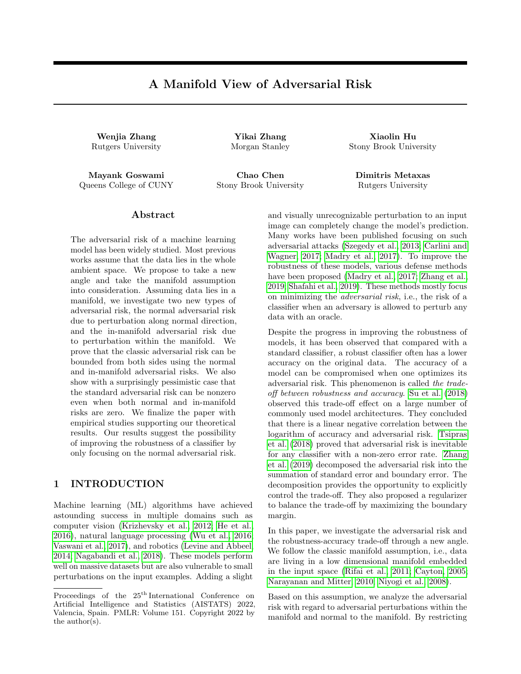De nition 4 (NNR Nearby-Normal-Risk). Fix > 0. Denote by  $A(x; y)$  the event that  $8x^0$  2 B<sup>nor</sup> (x); f (x<sup>0</sup>)y > 0; i.e., the normal adversarial risk of x is zero.

Denote by  $B(x; y)$  the event that

$$
9x^0 2 B_2^{\text{in}}(x) : (9z 2 B^{\text{nor}}(x^0) : f(z)f(x^0) = 0);
$$

i.e., x has a point $\mathsf{x}^0$  near it such that  $\mathsf{x}^0$  has non-zero normal adversarial risk.

Denote by  $C(x; y)$  the event  $8x^0 2 B_2^{\text{in}}(x); f(x^0)y > 0$ , i.e., x has no adversarial perturbation in the manifold within distance 2 .

The Nearby-Normal-Risk (denoted as NNR) off with budget is dened to be

$$
\mathop{\mathsf{E}}_{(x;y)} \ \mathop{\hbox{${\scriptscriptstyle \sf p}$}}\limits^{} \ 1(A(x;y) \mathop{\hbox{${\scriptscriptstyle \sf h}$}}\limits^{} B(x;y) \mathop{\hbox{${\scriptscriptstyle \sf h}$}}\limits^{} C(x;y));
$$

where ^ denotes \and".

We are now in a position to state our main result.

Theorem 1. [Risk Decomposition] Let M be a smooth compact manifold in  $R<sup>D</sup>$ , and let data be drawn from  $M_f$ 1; 1g according to some distribution p. There exists  $a > 0$  depending only on M such that the following statements hold for any < . For any score function f satisfying assumption A,

(i)

$$
R_{adv}(f; ) \qquad R_{std}(f) + R_{adv}^{nor}(f; ) + R_{adv}^{in}(f; 2) + NNR(f; ): \qquad (1)
$$

(ii) If  $R_{adv}^{nor}(f; ) = 0$ , then

$$
R_{adv}(f; ) \qquad R_{std}(f) + R_{adv}^{in}(f; 2)
$$

Remark:

- 1. The rst result decomposes the adversarial risk into the standard risk, the normal adversarial risk, the in-manifold risk, and an \extra term" | the Nearby-Normal-Risk. The NNR comes into play when a point x doesn't have normal adversarial risk, and the score function on all points nearby agrees with  $y(x)$ , yet there is a point near x that has non-zero normal adversarial risk.
- 2. The second result states that if the normal adversarial risk is zero, then the -adversarial risk is bounded by the sum of the standard risk and the 2 in-manifold risk.

One may wonder if a decomposition of the form  $R_{\text{adv}}(f; )$   $R_{\text{std}}(f) + R_{\text{adv}}^{\text{nor}}(f; ) + R_{\text{adv}}^{\text{in}}(f; 2)$  is possible. We prove that this is not possible.

Theorem 2. [Tightness of Decomposition Result]

For any  $\leq 1=2$ , there exists a sequenc of  $n \, g_{n=1}^1$  of continuous score functions such that

- 1.  $R_{std}(f) = 0$  for all n 1,
- 2.  $R_{adv}^{in}(f_n; 2) = 0$  for all n 1, and
- 3.  $R_{\text{adv}}^{\text{nor}}(f_n; )!$  0 as n goes to in nity,

but R<sub>adv</sub> (f; ) = 1 for all  $n > \frac{1}{3}$ .

Thus all three terms except the NNR term go to zero, but the adversarial risk (the left side of Equation 2) goes to one.

2.4 Decomposition when y is Deterministic

Let  $(x) = Pr(y = 1)x$ . We consider here the simplistic setting when (x) is either zero or one, i.e., y is a deterministic function of x. In this case, we can explain our decomposition result in a simpler way.

Let  $Z^{nor}$  (f; ) := f x 2 M : f (x)y > 0 and  $9x^0 \oplus x^2$  $B^{nor}(x); f(x^0)y(x)$  Og. That is,  $Z^{nor}(f; )$  is the set of points with no standard risk, but with a non-zero normal adversarial risk under a positive but less than normal perturbation. Let  $\overline{Z^{nor}(f;)}$  = M n  $Z^{nor}(f;)$ be the complement ofZ<sup>nor</sup> (f; ). For a set A M, let (A) denote the measure ofA.

Corollary 1. Let M be a smooth compact manifold in  $R^D$ , and let (x) 2 f 0; 1g for all x 2 M. There exists  $a > 0$  depending only onM such that the following statements hold for any < . For any score function f satisfying assumption A,

(i)

$$
R_{adv}(f; ) \qquad R_{std}(f) + R_{adv}^{in}(f; 2) + R_{adv}^{nor}(f; )
$$
  
+  $(\overline{Z}^{nor}(f; ) \setminus B_2 (Z^{nor}(f; ) ) (2)$ 

(ii) If  $R_{adv}^{nor}(f; ) = 0$ , then  $R_{adv}(f; ) - R_{std}(f) +$  $R_{\text{adv}}^{\text{in}}(f; 2)$ .

Therefore in this setting, the adversarial risk can be decomposed into the in-manifold risk and the measure of a neighborhood of the points that have non-zero normal adversarial risk.

#### 2.5 Proofs of Theorems 3 and 2

The complete proof of Theorem 3 is technical and is provided in the supplementary materials. Here we provide a sketch of the proof rst. Then we give the complete proof of Theorem 2.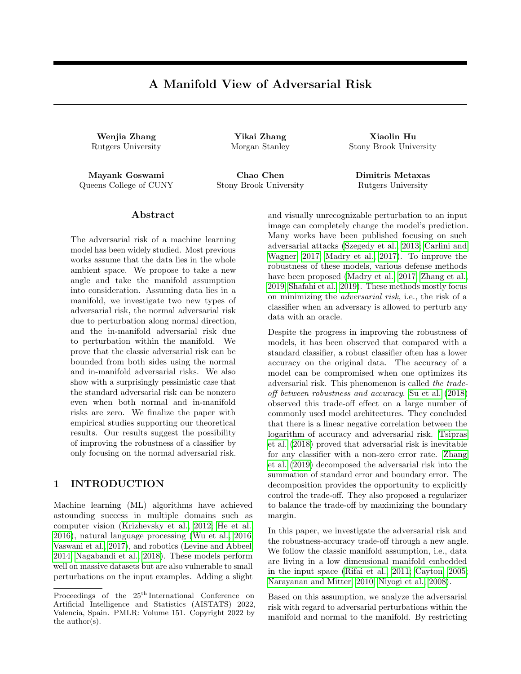#### 2.5.1 Proof Sketch of Theorem 3

We rst address the existence of the constant that only depends onM in the theorem statement. De ne a tubular neighborhoodof M as a setN R<sup>D</sup> containing M such that any point z 2 N has a unique projection (z) onto M such that z  $(z)$  2 N  $_{(z)}M$ . Thus the normal line segments of length at any two points  $x; x^0$  2 M are disjoint.

By Theorem 11.4 in Bredon (2013), we know that there exists such that  $N := fy 2 R^{D} : dist(y; M) <-g$  is a tubular neighborhood of M . The guaranteed by Theorem 11.4 is the referred to in our theorem, and the budget is constrained to be at most .

For simplicity, we rst sketch the proof of the case when y is deterministic (the setting of Corollary 1). Consider a pair  $(x, y)$  p, such that x has an adversarial perturbation  $x^0$  within distance  $\;$  . We show that one of the four cases must occur:

- $\hat{x}$  x<sup>0</sup> = x (standard risk).
- $\hat{x} \times \hat{y}$   $\hat{y}$  x,  $\hat{x}^0$  2 N<sub>x</sub>M, and f (x)y > 0 (normal adversarial risk).
- $\hat{c}$  Let  $x^{00}$  =  $(x^0)$  (the unique projection of  $x^0$  onto M ), then  $d(x^{00},x)$  2 and either
	- $\{ f (x^{00}) \}$ 0, and x has an 2 in-manifold adversarial perturbation (in-manifold risk), or
	- {  $f(x^{00})f(x^{00})$ ) 0, which implies that x is within 2 of a point  $x^{00}$  2 M that has nonzero normal adversarial risk. (NNR: nearbynormal-risk)

The second of these sets  $i\vec{\mathbf{z}}^{nor}$  (f; ) in the setting of Corollary 3. One can see that the four cases correspond to the four terms in Equation 2.

For the proof of Theorem 3, one has to observe that sincey is not deterministic, the set  $Z^{nor}$  (f; ) is random. One then has to average over all possible nor (f; ), and show that the average equals NNR.

For the second part of Theorem 1 and Corollary 1, observe that if the normal adversarial risk is zero, then in the last case,x<sup>00</sup>has non-zero normal adversarial risk, with normal adversarial perturbation  $x^0$ . Unless $x^{00}$ is on the decision boundary, by continuity of f one can show that there exists an open set aroun $\boldsymbol{\mathsf{a}}^{00}$ such that all points here have non-zero normal adversarial risk. This contradicts the fact that the normal adversarial risk is zero, implying that case 4 happens only on a set of measure zero (recall that by assumption A the decision boundary does not contain any open set). This completes the proof sketch.

#### 2.5.2 Proof of Theorem 2

Let  $M = [0, 1]$  and  $x \le 1=2$  and n 1. We will think of data as lying in the manifold M, and R<sup>2</sup> as the ambient space. The true distribution is simply  $(x) = 1$  for all  $x \geq M$ , hencey 1 (all labels on M are 1).

Let  $i_1 = \frac{n}{n(n+1)}$  and  $i_2 = \frac{1}{n^2}$ . Note that  $(n + 1)i_1 +$  $n^2$  = 1. Consider the following partition of M =  $A_0$ [ B<sub>1</sub> [ A<sub>1</sub> [ B<sub>2</sub> [ B<sub>n</sub> [ A<sub>n</sub>, Where A<sub>i</sub> (0 i n) is of length  $\hat{i}_1$  and  $B_i$  (1 i n) is an interval of length 2. The interval  $A_0; B_1; A_1; \quad ; B_n; A_n$  appear in this order from left to right.

For ease of presentation, we will consider 0; 1g binary labels, and build score functionsf $_n$  taking values in [0; 1] that satisfy the conditions of the Theorem.

For an x 2  $A_i$  for some 0 i n, de ne  $g_n(x) = 1$ . For x 2 B<sub>i</sub> for some 1 i n, de ne  $g_n(x) = z$ . Observe that  $=2 < 1=4$ .

We now de ne the decision boundary off  $n$  as the set of points in  $R^2$  on the \graph" of  $g_n$  and  $g_n$ . That is,

DB 
$$
(f_n)
$$
 =  $f(x; cg_n(x)) : x 2 [0; 1]; c 2f$  1; 1gg:

See Figure 2 for a picture of the upper decision boundary. Now let  $f_n$  be any continuous function with decision boundary DB  $(f_n)$  as above. That is,  $f_n : R^2 : [0;1]$  is such that  $f_n(x;t) > 1=2$  if jtj <  $g_n(x)$ ,  $f_n(x;t) < 1=2$  if jtj  $> g_n(x)$  and  $f_n(x;y) = 1=2$ if jtj =  $g_n(x)$ .

In-manifold Risk Is Zero Observe that since  $(x) = 1$  on [0; 1], the in-manifold risk of f<sub>n</sub> is zero, since f<sub>n</sub>(x; 0) > 1=2, and so sign(2f<sub>n</sub> 1) equals 1, which is the same as the labely at x. This means that there are no in-manifold adversarial perturbations, no matter the budget. Thus  $R_{adv}^{in}$  (f<sub>n</sub>; ) = 0 for all n 1.

Normal Adversarial Risk Goes To Zero Next we consider the normal adversarial risk. Ifx 2  $A_i$  for somei, then a point in the normal ball with budget is of the form  $(x; t)$  with  $|t| <$  < 1=2, but  $f_n(x; t) > 1=2$ for such points, and thus sign(2f<sub>n</sub> 1) = y(x). Thus x 2 A<sup>i</sup> does not contribute to the normal adversarial risk.

If x 2  $B_i$  for some i then  $f_n(x; ) \leq 1=2$  while  $f_n(x; 0) > 1=2$ , and hence suchx contributes to the normal adversarial risk. Thus  $R_{adv}^{nor}(f_n; ) =$  $\sum_{i=1}^{n}$   $(B_i) = \sum_{i=1}^{n}$   $\sum_{i=1}^{n}$   $= 1$  =n, which goes to zero asn goes to in nity.

Adversarial Risk Goes To One Now we show that  $R_{adv}$  (f<sub>n</sub>; ) goes to one. In fact, we will show that as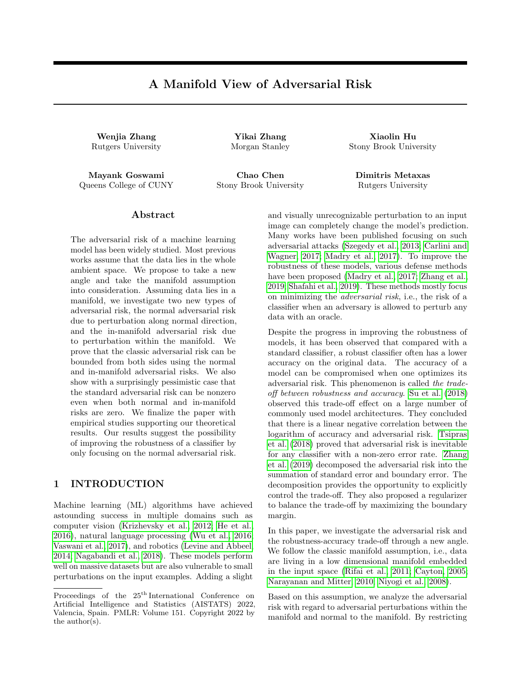#### Figure 2: Lower bound illustration

long asn is su ciently large, the adversarial risk is 1. Consider n such that  $i_1 := \frac{n-1}{n(n+1)}$ p  $\overline{3}$  . Note that such ann exists simply because  $_1$  goes to zero as goes to in nity, and  $n > \frac{1}{3}$  works.

Clearly, points in  $B_i$  contribute to adversarial risk as they have adversarial perturbations in the normal direction. However, if we consider  $x \in A_i$  (which does not have adversarial perturbations in the normal direction or in-manifold), we show that there still exists an adversarial perturbation in the ambient space: that is, there exists a point $x^0$  such that a) the distance between  $\mathbf{k}^0$ , =2) and (x; 0) is at most , and b) sign(2f<sub>n</sub>(x; =2))  $6$  sign(2f<sub>n</sub>(x; 0)). Let  $x^0$  be the closest, point in B := [B<sub>i</sub> to x. Then x° be the closes<sub>p</sub><br>jx<sup>0</sup> xj `<sub>1</sub>=2<  $\overline{3}$  =2. Thus the distance between  $(x^0, =2)$  and  $(x, 0)$  is at most (  $\frac{p}{3}=2)^2+(-2)^2=$ . Since  $x^0$  2 B, f<sub>n</sub>( $x^0$ , =2) < 1=2 whereasf<sub>n</sub>( $x$ ; 0) < 1=2,  $(x^0, =2)$  is a valid adversarial perturbation around x.

Thus for all  $x \, 2 \, [0; 1]$ , there exists an adversarial perturbation within budget , and therefore  $R_{adv}(f_n; ) = 1$  as long as  $n > \frac{1}{3}$ . This completes the proof.

### 3 EXPERIMENT

In this section, we verify the decomposition upper bound in Corollary 3 on synthetic data sets. For both i) and ii) in Corollary 3, we empirically evaluate each term in the inequality on several classiers and compare the values according to the claims in Corollary 3.

In the following experiments, instead of using  $2$  norm to evaluate the perturbation, we search the neighborhood under  $I_1$  norm, which would produce a stronger attack than  $I_2$  norm one. The experimental results indicate that our theoretical analysis may hold for an even stronger attack.

#### 3.1 Toy Data Set and Perturbed Data

We generate four di erent data sets where we study both the single decision boundary caseand the double

decision boundary case. The rst pair of datasets are in 2D space and the second pair is in 3D. We aim to provide empirical evidence for the claim ii ) in the Corollary 3 using the single decision boundary data, having observed that one can su ciently reduce  $R_{\text{adv}}^{\text{nor}}$ , allowing one directly compare  $R_{\text{adv}}(f; )$  and  $R_{\text{adv}}^{\text{in}}$  (f; 2 ). We aim to provide empirical evidence for the claim i) in the Corollary 3 using double boundary, sinceR<sup>nor</sup>, can not be su ciently reduced using a simple classier, since decision boundary is complicated.

For the 2D case, we sample training data uniformly from a unit circle  $C_1$  :  $x_1^2 + x_2^2 = 1$ . For the single decision boundary data set, we set

$$
y = 21(x_1 > 0) 1 (Single Decision Boundary)
$$
  

$$
y = 21(x_1x_2 > 0) 1 (Double Decision Boundary)
$$

The visualization of the dataset is in Figure 3 a) and b). In particular, we set unit circle  $C_1$  has = 1, we set the perturbation budget to be " 2 [0:01; 0:3]. And the normal direction is alone the radius of the circle.

In the 3D case, we set the manifold to beM :  $x_3 = 0$ and generate training data in region  $[ ; ] [ ; ]$ on  $x_1x_2$ -plane. We set

 $y = 21 [x_1 > sin(x_2)]$  1(Single)  $y = 21 [(x_1 \sin(x_2))x_2 > 0]$  1(Double)

Figure 3 c) and d) show these two cases. For the single decision boundary example, due to the manifold being at, we have  $= 1$ , we explore the value in range  $[0.1; 0.8]$ . For the double decision boundary, the distance to the decision boundary is half of the distance in the single boundary case. Therefore, we set the range of perturbation to be  $[0.1; 0.4]$ .

#### 3.2 Algorithm

To empirically estimate the decomposition of adversarial risk, we need to generate adversarial data alone di erent directions, i.e. the normal direction risk  $R_{adv}^{nor}$ , the in-manifold risk  $R_{adv}^{in}$  and the general adversarial risk  $R_{adv}$ . For general adversarial risk, we evaluate risks on perturbed examplex<sup>adv</sup> computed by Projected Gradient Descent algorithm in (Madry et al., 2017).

By the de nition of toy data sets, we know that the dimension of ambient space is 1. The normal space at point x can be represented  $bW_xM = fx + t$  vio  $t <$  g, here v is a unit normal vector. Therefore we could explicitly compute the normal vector v and select normal direction adversarial data x<sup>nor</sup>.

We evaluate di erent components in the inequality in Corollary 3 on three classiers. The standard classier f trained by original training data set,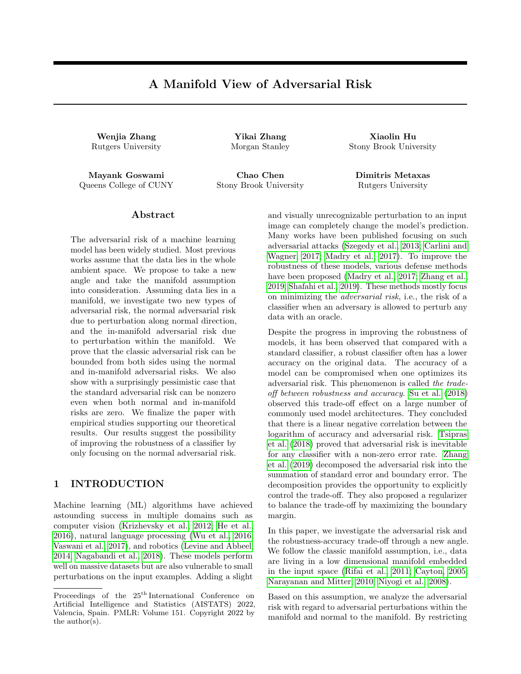| Single Boundary |                  |            | adv              |            | $f$ nor          |            |                                 |                               |           |
|-----------------|------------------|------------|------------------|------------|------------------|------------|---------------------------------|-------------------------------|-----------|
|                 | $R^{\text{adv}}$ | <b>RHS</b> | $R^{\text{adv}}$ | <b>RHS</b> | $R^{adv}$        | <b>RHS</b> | $R_{\text{adv}}^{\text{in}}(2)$ | $R_{\text{adv}}^{\text{nor}}$ | $R_{std}$ |
| 0.01            | 0.0110           | 0.022      | 0.0110           | 0.022      | 0.0090           | 0.0220     | 0.0140                          | 0.0050                        | 0.0050    |
| 0.02            | 0.0130           | 0.0449     | 0.0130           | 0.0449     | 0.0130           | 0.0449     | 0.0290                          | 0.0060                        | 0.0060    |
| 0.03            | 0.0230           | 0.063      | 0.0250           | 0.0671     | 0.0230           | 0.0633     | 0.0400                          | 0.0120                        | 0.0120    |
| 0.05            | 0.0280           | 0.0794     | 0.0300           | 0.0784     | 0.0280           | 0.0794     | 0.0620                          | 0.0040                        | 0.0040    |
| 0.1             | 0.0709           | 0.1652     | 0.0699           | 0.1645     | 0.0709           | 0.1650     | 0.133                           | 0.0                           | 0.0040    |
| 0.15            | 0.0979           | 0.2831     | 0.1009           | 0.2886     | 0.1009           | 0.2866     | 0.1850                          | 0.0050                        | 0.0050    |
| 0.2             | 0.128            | 0.3951     | 0.126            | 0.3971     | 0.128            | 0.4086     | 0.261                           | 0.0050                        | 0.0040    |
| 0.25            | 0.1660           | 0.4966     | 0.1630           | 0.4931     | 0.1660           | 0.4986     | 0.3259                          | 0.0040                        | 0.0040    |
| 0.3             | 0.1979           | 0.4509     | 0.1979           | 0.5613     | 0.1979           | 0.4505     | 0.35                            | 0.0                           | 0.0       |
|                 |                  |            |                  |            |                  |            |                                 |                               |           |
| Double Boundary |                  |            | £                | adv        |                  |            | $f$ nor                         |                               |           |
|                 | $R^{\text{adv}}$ | <b>RHS</b> | $R^{\text{adv}}$ | <b>RHS</b> | $R^{\text{adv}}$ | <b>RHS</b> | $R_{\text{adv}}^{\text{in}}(2)$ | $R_{\text{adv}}^{\text{nor}}$ | $R_{std}$ |
| 0.01            | 0.0080           | 0.0286     | 0.0060           | 0.0296     | 0.0070           | 0.0276     | 0.0180                          | 0.0030                        | 0.0030    |
| 0.02            | 0.0240           | 0.0694     | 0.0230           | 0.2525     | 0.0240           | 0.0694     | 0.0490                          | 0.0050                        | 0.0050    |
| 0.03            | 0.0510           | 0.1333     | 0.0460           | 0.1363     | 0.0510           | 0.1383     | 0.0949                          | 0.0110                        | 0.0110    |
| 0.05            | 0.0620           | 0.1810     | 0.0620           | 0.1640     | 0.0629           | 0.1640     | 0.1139                          | 0.0080                        | 0.0080    |
| 0.1             | 0.1170           | 0.3398     | 0.1169           | 0.3071     | 0.12             | 0.2746     | 0.2400                          | 0.0060                        | 0.0060    |
| 0.15            | 0.1850           | 0.6059     | 0.1860           | 0.4895     | 0.1939           | 0.5948     | 0.3860                          | 0.0040                        | 0.0040    |
| 0.2             | 0.242            | 0.8763     | 0.247            | 0.8002     | 0.265            | 0.878      | 0.5409                          | 0.0060                        | 0.0050    |
| 0.25            | 0.3139           | 1.         | 0.3169           | 0.9971     | 0.3239           | 1.         | 0.6500                          | 0.0080                        | 0.0080    |

Table 1: 2D Adversarial risk comparison

Table 2: 3D Adversarial risk comparison

| Single Boundary |                  |            | adv              |            | $f$ nor          |            |                                            |                               |           |
|-----------------|------------------|------------|------------------|------------|------------------|------------|--------------------------------------------|-------------------------------|-----------|
|                 | $R^{\text{adv}}$ | <b>RHS</b> | $R^{\text{adv}}$ | <b>RHS</b> | $R^{\text{adv}}$ | <b>RHS</b> | $\overline{R}_{\text{adv}}^{\text{in}}(2)$ | $R_{\text{adv}}^{\text{nor}}$ | $R_{std}$ |
| 0.1             | 0.0450           | 0.0992     | 0.0410           | 0.092      | 0.0470           | 0.1002     | 0.0959                                     | 0.0050                        | 0.0050    |
| 0.2             | 0.1139           | 0.2297     | 0.0999           | 0.229      | 0.1099           | 0.2143     | 0.1929                                     | 0.0100                        | 0.0199    |
| 0.3             | 0.1550           | 0.3106     | 0.136            | 0.3216     | 0.1540           | 0.2852     | 0.239                                      | 0.0080                        | 0.0265    |
| 0.4             | 0.2089           | 0.3765     | 0.1680           | 0.3889     | 0.2059           | 0.3579     | 0.26                                       | 0.0080                        | 0.0193    |
| 0.5             | 0.247            | 0.4910     | 0.1860           | 0.4404     | 0.250            | 0.4104     | 0.252                                      | 0.0040                        | 0.0174    |
| 0.6             | 0.2700           | 0.5910     | 0.2179           | 0.5198     | 0.257            | 0.417      | 0.257                                      | 0.0090                        | 0.0153    |
| 0.7             | 0.2600           | 0.6057     | 0.2009           | 0.7571     | 0.2731           | 0.4224     | 0.273                                      | 0.0030                        | 0.0139    |
| 0.8             | 0.2329           | 0.6775     | 0.1670           | 0.5630     | 0.2339           | 0.4083     | 0.2329                                     | 0.0020                        | 0.0129    |
| Double Boundary |                  |            | $f$ adv          |            |                  |            | $f$ nor                                    |                               |           |
|                 | $R^{\text{adv}}$ | <b>RHS</b> | $R^{\text{adv}}$ | <b>RHS</b> | $R^{\text{adv}}$ | <b>RHS</b> | $R_{\text{adv}}^{\text{in}}(2)$            | $R_{\text{adv}}^{\text{nor}}$ | $R_{std}$ |
| 0.1             | 0.0649           | 0.1654     | 0.0789           | 0.153      | 0.0759           | 0.1654     | 0.1540                                     | 0.0130                        | 0.0140    |
| 0.15            | 0.1460           | 0.3065     | 0.1280           | 0.2949     | 0.1510           | 0.3026     | 0.272                                      | 0.0220                        | 0.0270    |
| 0.2             | 0.1700           | 0.3858     | 0.1370           | 0.3341     | 0.1670           | 0.3541     | 0.3040                                     | 0.0170                        | 0.0170    |
| 0.25            | 0.2049           | 0.4608     | 0.1500           | 0.4203     | 0.2099           | 0.4486     | 0.361                                      | 0.0210                        | 0.0210    |
| 0.3             | 0.2159           | 0.4740     | 0.1810           | 0.4208     | 0.2119           | 0.4450     | 0.3289                                     | 0.0190                        | 0.0190    |
| 0.35            | 0.275            | 0.5176     | 0.2039           | 0.5289     | 0.2750           | 0.4830     | 0.356                                      | 0.0110                        | 0.0130    |
| 0.4             | 0.3000           | 0.6051     | 0.2069           | 0.5325     | 0.3040           | 0.6593     | 0.3690                                     | 0.0520                        | 0.0080    |

the adversarial classi er f<sup>adv</sup> trained by Adversarial Training algorithm in Madry et al. (2017) and the classier trained using adversarial samples generated in the normal direction  $x^{nor}$ , we denote it as f nor. To compute the in-manifold perturbation, we design two methods. The rst one is using grid search to go

through all the perturbations in the manifold within the budget and return the point with maximum loss as in-manifold perturbation x<sup>in</sup>. The second is using PGD method to nd a general adversarial point x<sup>adv</sup> in ambient space and projectx<sup>adv</sup> back to the data manifold M . Due to grid-search being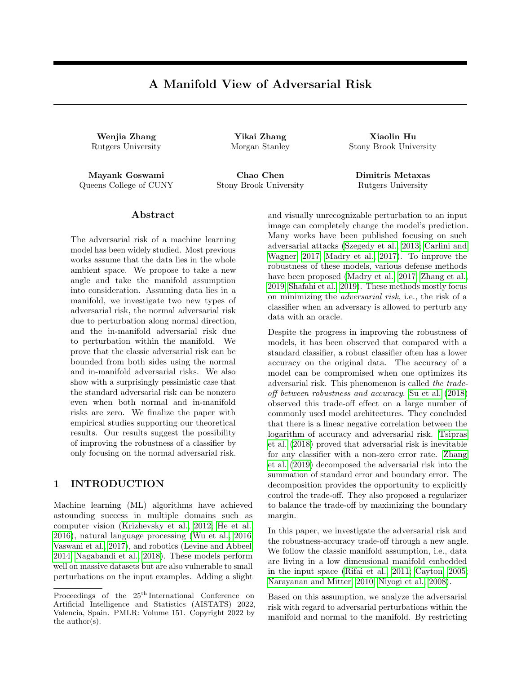| a) 2D Single      | b) 2D Double      | c) 3D Single      | d) 3D Double      |
|-------------------|-------------------|-------------------|-------------------|
| decision boundary | decision boundary | decision boundary | decision boundary |

Figure 3: In this gure, we show our four toy data set. On the left side is 2D data set on a unit circle. The single decision boundary data is linearly separated by the y-axis. And in the double decision boundary case, the circle is separated into 4 parts with x and y-axis. On the right side is the 3D data set. The data is distributed in a square area on $x_1x_2$ -plane. In the single decision boundary example, the data is divided by the curvex<sub>1</sub> = sin(x<sub>2</sub>). And in the double decision boundary situation, we add the y-axis as the extra boundary.

time-consuming, we use the second method in our experiments below. We further compare these two methods in supplementary materials.

Here we propose a method based on Adversarial Training to compute f<sup>nor</sup> in Algorithm 1. One thing worth mentioning here is, instead of using grid search to nd the actual x<sup>nor</sup>, we use an intermediate method to generate normal data. We randomly choose a point along the normal direction within the budget to be our normal direction perturbed data. This might worsen the normal adversarial risk of f<sup>nor</sup>, but our empirical results show that  $R_{adv}^{nor}$  (f nor ) still close to 0.

| Algorithm 1 Normal direction Adversarial Training                           |
|-----------------------------------------------------------------------------|
| 1: Input: Training data set $f x_i$ ; $y_i g_{i=1}^n$ , training            |
| iterations K, perturbation budget                                           |
| 2: for iterations in $1$ ;::;; K do                                         |
| for $x_i$ in $f x_i$ ; $y_i g_{i=1}^n$ do<br>3:                             |
| Find normal space $N_{x_i}$ (M) for $x_i$ .<br>4:                           |
| Find $v_i$ 2 B <sup>nor</sup> (x <sub>i</sub> ) such that $1(f(x_i +$<br>5: |
| $v_i$ ; y <sub>i</sub> ) $\theta$ 0.                                        |
| 6: $X_i^{nor}$<br>$V_i$                                                     |
| Update $f^{nor}$ with $x_i^{nor}$ .<br>7:                                   |
| 8: end for                                                                  |
| 9: end for                                                                  |

Note in Corollary 3 claim i), we have a component  $(B (Z<sup>nor</sup> (f;))) \setminus M)$  on the right hand side (RHS) of the inequality. We also give a practical way of estimating such quantity in the empirical study. By the de nition of  $Z^{nor}$  (f; ), we rst select point  $x_i$  in training data such that there exists point  $\mathsf{x}_{\mathsf{i}}^0$  in  $\mathsf{N}_{\mathsf{x}_{\mathsf{i}}}$ M s.t f  $(x_i^0)$   $\theta$  y<sub>i</sub> to form set  $\Delta$ . Since we uniformly sample points from data manifold, the volume of B<sub>2</sub> ( $\cancel{\mathbb{Z}}$ ) \ M is proportional to  $(B_2 (Z<sup>nor</sup> (f;)))\setminus M$ ) which is a set derived by point wise augment $\bar{Z}$  by a 2"-ball. In

2D example, this quantity is simply the length of curve segment on unit circle as the volume of  $B_2$  (z) for any  $z \,$  2  $\overline{Z}$ . In 3D example, we use area of point wise augmented by a 2 square. We list the RHS value for 2D and 3D datasets in Table 1 and Table 2 for all three classiers.

#### 3.3 Empirical Results and Discussion

2D Unit Circle We generate 1000 training data uniformly. The classier is a 2-layer feed-forward network. Each classier is trained with Stochastic Gradient Descent (SGD) with a learning rate of 0:1 for 1000 epochs. Also, since  $=$  1 for the unit circle, the upper bound of value is up to 1. Hence we run experiments for from 0.01 to 0.3. By increasing the budget, we also observe that the decision boundary of f<sup>nor</sup> becomes perpendicular to the data manifold. In Table 1, the value of  $R_{adv}^{nor}$  (f nor ) also con rm our observation. We leave more discussion and visualization of this phenomenon in the supplementary material.

To verify our results in Corollary 3 claim i). We compute the adversarial risk for three classiers. And for the upper bound, we evaluate the component  $(B (Z<sup>nor</sup> (f;))) \setminus M$  ) following the description in Section 3.2. The right hand side value in the inequality is given in Table 1. We could observe that the upper bounds hold for 2D data.

Since we train f<sup>nor</sup> to minimize its empirical risk in normal direction. By Table 1, we know Rnor (f nor) is close to zero. Therefore it is reasonable to study claim ii) in Corollary 3 using f<sup>nor</sup>. The summation of in-manifold risk and standard risk of f<sup>nor</sup> certainly upper bounds R<sub>adv</sub> (f<sup>nor</sup>).

3D  $X_1X_2$ -plane We generate 1000 training data from the data set. The classier is a 4-layer feedforward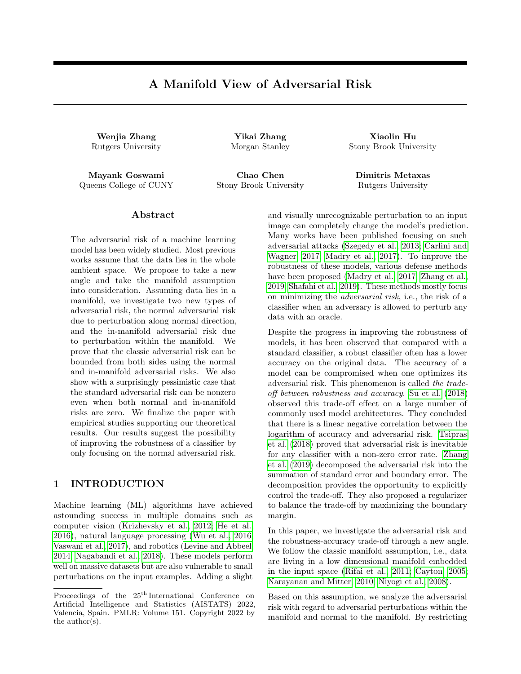network. We use SGD with a learning rate of 0.1 and weight decay of 0.001 to train the network. The total training epoch is 2000.

In Table 2, we list same three classiers trained on 3D data set. We haveR<sup>adv</sup> been upper bounded by the right hand side of the inequality in Corollary 3 claim i). The claim ii ) also holds in 3D cases. Due to the limit of the space, we provide visualization of the decision boundary and additional empirical results in the supplemental material.

# 4 CONCLUSION

In this work, we study the adversarial risk of the machine learning model from the manifold perspective. We report theoretical results that decompose the adversarial risk into the normal adversarial risk, the in-manifold adversarial risk, and the standard risk with the additional Nearby Normal Risk term. We present a pessimistic case suggesting the additional Nearby Normal Risk term can not be removed in general, without additional assumptions. Observing that the Nearby Normal Risk term can be wiped out by enforcing zero normal adversarial risk, our theoretical analysis suggests a potential training strategy that only focuses on the normal adversarial risk.

# Acknowledgements

We thank anonymous reviewers for their constructive feedback. Mayank Goswami would like to acknowledge support from US National Science Foundation (NSF) awards CRII-1755791 and CCF-1910873. Xiaoling Hu and Chao Chen were partially supported by grants NSF IIS-1909038 and CCF-1855760.

# References

- Pranjal Awasthi, Abhratanu Dutta, and Aravindan Vijayaraghavan. On robustness to adversarial examples and polynomial optimization. arXiv preprint arXiv:1911.04681, 2019.
- Glen E Bredon. Topology and geometry volume 139. Springer Science & Business Media, 2013.
- Nicholas Carlini and David Wagner. Towards evaluating the robustness of neural networks. In 2017 ieee symposium on security and privacy (sp), pages 39{57. IEEE, 2017.
- Yair Carmon, Aditi Raghunathan, Ludwig Schmidt, Percy Liang, and John C Duchi. Unlabeled data improves adversarial robustness. arXiv preprint arXiv:1905.13736, 2019.
- Lawrence Cayton. Algorithms for manifold learning. Univ. of California at San Diego Tech. Rep, 12(1-17): 1, 2005.
- Tamal K Dey and Samrat Goswami. Provable surface reconstruction from noisy samples.Computational Geometry, 35(1-2):124{141, 2006.
- Elvis Dohmatob. Generalized no free lunch theorem for adversarial robustness. InInternational Conference on Machine Learning, pages 1646{1654. PMLR, 2019.
- Herbert Edelsbrunner and Nimish R Shah. Triangulating topological spaces. In Proceedings of the tenth annual symposium on Computational geometry, pages 285{292, 1994.
- Alhussein Fawzi, Hamza Fawzi, and Omar Fawzi. Adversarial vulnerability for any classier. arXiv preprint arXiv:1802.08686, 2018.
- Justin Gilmer, Luke Metz, Fartash Faghri, Samuel S Schoenholz, Maithra Raghu, Martin Wattenberg, and Ian Goodfellow. Adversarial spheres. arXiv preprint arXiv:1801.02774, 2018.
- Sven Gowal, Chongli Qin, Jonathan Uesato, Timothy Mann, and Pushmeet Kohli. Uncovering the limits of adversarial training against normbounded adversarial examples. arXiv preprint arXiv:2010.03593, 2020.
- Minghao Guo, Yuzhe Yang, Rui Xu, Ziwei Liu, and Dahua Lin. When nas meets robustness: In search of robust architectures against adversarial attacks. In Proceedings of the IEEE/CVF Conference on Computer Vision and Pattern Recognition, pages 631{640, 2020.
- Kaiming He, Xiangyu Zhang, Shaoqing Ren, and Jian Sun. Deep residual learning for image recognition. In Proceedings of the IEEE conference on computer vision and pattern recognition, pages 770{778, 2016.
- Alex Krizhevsky, Ilya Sutskever, and Georey E Hinton. Imagenet classication with deep convolutional neural networks. Advances in neural information processing systems25:1097{1105, 2012.
- Sergey Levine and Pieter Abbeel. Learning neural network policies with guided policy search under unknown dynamics. In NIPS, volume 27, pages 1071{ 1079. Citeseer, 2014.
- Wei-An Lin, Chun Pong Lau, Alexander Levine, Rama Chellappa, and Soheil Feizi. Dual manifold adversarial robustness: Defense against lp and non-lp adversarial attacks. Advances in Neural Information Processing Systems33:3487{3498, 2020.
- Aleksander Madry, Aleksandar Makelov, Ludwig Schmidt, Dimitris Tsipras, and Adrian Vladu. Towards deep learning models resistant to adversarial attacks. arXiv preprint arXiv:1706.06083, 2017.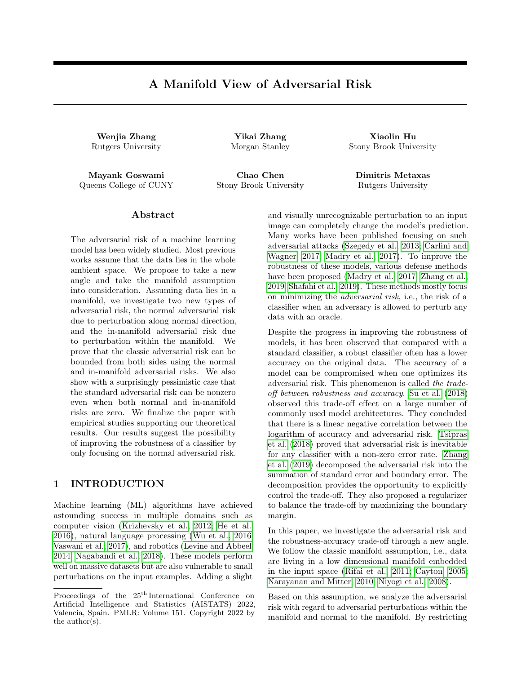- Anusha Nagabandi, Gregory Kahn, Ronald S Fearing, and Sergey Levine. Neural network dynamics for model-based deep reinforcement learning with model-free fine-tuning. In 2018 IEEE International Conference on Robotics and Automation (ICRA), pages 7559–7566. IEEE, 2018.
- Hariharan Narayanan and Sanjoy Mitter. Sample complexity of testing the manifold hypothesis. In Proceedings of the 23rd International Conference on Neural Information Processing Systems-Volume 2, pages 1786–1794, 2010.
- Partha Niyogi, Stephen Smale, and Shmuel Weinberger. Finding the homology of submanifolds with high confidence from random samples. Discrete & Computational Geometry, 39(1-3):419–441, 2008.
- Aditi Raghunathan, Sang Michael Xie, Fanny Yang, John Duchi, and Percy Liang. Understanding and mitigating the tradeoff between robustness and accuracy. arXiv preprint arXiv:2002.10716, 2020.
- Leslie Rice, Eric Wong, and Zico Kolter. Overfitting in adversarially robust deep learning. In International Conference on Machine Learning, pages 8093–8104. PMLR, 2020.
- Salah Rifai, Yann N Dauphin, Pascal Vincent, Yoshua Bengio, and Xavier Muller. The manifold tangent classifier. Advances in neural information processing systems, 24:2294–2302, 2011.
- Lawrence K Saul and Sam T Roweis. Think globally, fit locally: unsupervised learning of low dimensional manifolds. Departmental Papers (CIS), page 12, 2003.
- <span id="page-9-4"></span>Ali Shafahi, Mahyar Najibi, Amin Ghiasi, Zheng Xu, John Dickerson, Christoph Studer, Larry S Davis, Gavin Taylor, and Tom Goldstein. Adversarial training for free!  $arXiv$  preprint  $arXiv:1904.12843$ , 2019.
- Uri Shaham, Yutaro Yamada, and Sahand Negahban. Understanding adversarial training: Increasing local stability of supervised models through robust optimization. Neurocomputing, 307:195–204, 2018.
- David Stutz, Matthias Hein, and Bernt Schiele. Disentangling adversarial robustness and generalization. In Proceedings of the IEEE/CVF Conference on Computer Vision and Pattern Recognition, pages 6976–6987, 2019.
- <span id="page-9-5"></span>Dong Su, Huan Zhang, Hongge Chen, Jinfeng Yi, Pin-Yu Chen, and Yupeng Gao. Is robustness the cost of accuracy?–a comprehensive study on the robustness of 18 deep image classification models. In Proceedings of the European Conference on Computer Vision (ECCV), pages 631–648, 2018.
- <span id="page-9-2"></span>Christian Szegedy, Wojciech Zaremba, Ilya Sutskever, Joan Bruna, Dumitru Erhan, Ian Goodfellow, and Rob Fergus. Intriguing properties of neural networks. arXiv preprint arXiv:1312.6199, 2013.
- Thomas Tanay and Lewis Griffin. A boundary tilting persepective on the phenomenon of adversarial examples. arXiv preprint arXiv:1608.07690, 2016.
- Joshua B Tenenbaum, Vin De Silva, and John C Langford. A global geometric framework for nonlinear dimensionality reduction. *science*, 290 (5500):2319–2323, 2000.
- <span id="page-9-6"></span>Dimitris Tsipras, Shibani Santurkar, Logan Engstrom, Alexander Turner, and Aleksander Madry. Robustness may be at odds with accuracy. arXiv preprint arXiv:1805.12152, 2018.
- <span id="page-9-1"></span>Ashish Vaswani, Noam Shazeer, Niki Parmar, Jakob Uszkoreit, Llion Jones, Aidan N Gomez, Lukasz Kaiser, and Illia Polosukhin. Attention is all you need. arXiv preprint arXiv:1706.03762, 2017.
- <span id="page-9-0"></span>Yonghui Wu, Mike Schuster, Zhifeng Chen, Quoc V Le, Mohammad Norouzi, Wolfgang Macherey, Maxim Krikun, Yuan Cao, Qin Gao, Klaus Macherey, et al. Google's neural machine translation system: Bridging the gap between human and machine translation. arXiv preprint arXiv:1609.08144, 2016.
- Cihang Xie, Mingxing Tan, Boqing Gong, Jiang Wang, Alan L Yuille, and Quoc V Le. Adversarial examples improve image recognition. In Proceedings of the IEEE/CVF Conference on Computer Vision and Pattern Recognition, pages 819–828, 2020.
- Yao-Yuan Yang, Cyrus Rashtchian, Hongyang Zhang, Ruslan Salakhutdinov, and Kamalika Chaudhuri. A closer look at accuracy vs. robustness. Advances in Neural Information Processing Systems, 33, 2020.
- <span id="page-9-3"></span>Hongyang Zhang, Yaodong Yu, Jiantao Jiao, Eric Xing, Laurent El Ghaoui, and Michael Jordan. Theoretically principled trade-off between robustness and accuracy. In International Conference on Machine Learning, pages 7472–7482. PMLR, 2019.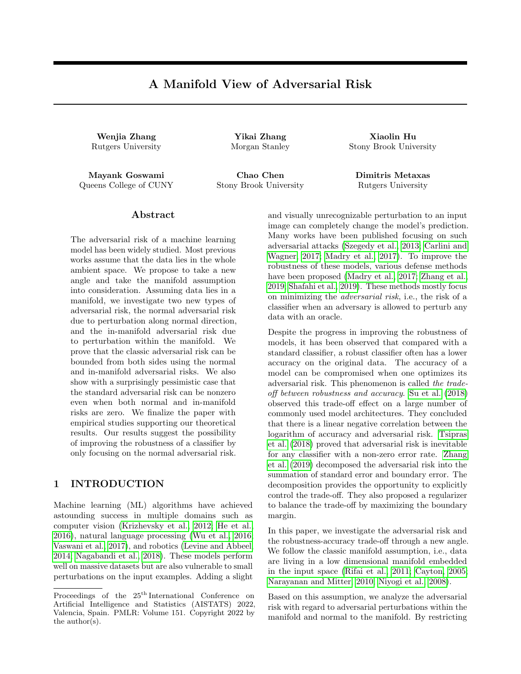# Supplementary Material: A Manifold View of Adversarial Risk

### A PROOF OF THEOREM 1

<span id="page-10-0"></span>**Theorem 3.** [Risk Decomposition] Let M be a smooth compact manifold in  $\mathbb{R}^D$ , and let data be drawn from  $M$  f 1; 1g according to some distribution p. There exists a  $\Delta > 0$  depending only on M such that the following statements hold for any  $\langle \Delta \rangle$ . For any score function f satisfying assumption A,

(i)

 $R_{adv}(f; )$   $R_{std}(f) + R_{adv}^{nor}(f; ) + R_{adv}^{in}(f; 2) + NNR(f; )$ :

(*ii*) If  $R_{adv}^{nor}(f; ) = 0$ , then

$$
R_{adv}(f; ) \quad R_{std}(f) + R_{adv}^{in}(f; 2)
$$

**Proof of i):** We first address the existence of the constant  $\Delta$  that only depends on  $\mathcal M$  in the theorem statement. **Definition 5** (Tubular Neighborhood). A tubular neighborhood of a manifold M is a set N  $\quad$  R<sup>D</sup> containing M such that any point  $z \geq N$  has a unique projection (z) onto M such that  $z \in (z) \geq N$  (z) M.

By Theorem 11.4 in Bredon (2013), we know that there exists  $\Delta > 0$  such that  $N := fy \geq R^D : dist(y; M) < \Delta g$ is a tubular neighborhood of  $M$ . This also implies that for any  $0 < \langle \Delta \rangle$ , the normal line segments of length at any two points  $x; x^0 \nightharpoonup \mathcal{M}$  are disjoint, a fact that will be used later.

The  $\Delta$  guaranteed by Theorem 11.4 is the  $\Delta$  referred to in our theorem, and the budget > 0 is constrained to be at most  $\Delta$ .

Next we consider the left hand side, the adversarial risk:

$$
R_{adv}(f; \cdot) := \underset{(x,y) \ p}{\mathbb{E}} \mathbf{1}(9x^0 \ 2 \ B \ (x) : f(x^0)y \quad 0)
$$

Denote by  $E(x; y)$  the event that  $9x^0 \n\supseteq B(x)$ :  $f(x^0)y = 0$ .

We will write the indicator function above as the sum of indicator functions of four events. Specifically, define by  $E_1(x; y)$ ;  $E_2(x; y)$ ;  $E_3(x; y)$ ;  $E_4(x; y)$  the following four events:

- $E_1(x; y)$ :  $f(x)y = 0$ .
- $E_2(x; y)$ :  $f(x)y > 0$  and  $9x^0 \notin x \in B$  (x) such that  $x^0 \in x \in N_x \setminus A$  and  $f(x^0)y = 0$ .

For the next two cases, let  $x^0 \notin x \in B$  (x) be such that  $x^0 \in x \in N_x \wedge A$  and  $f(x^0)y = 0$  (if such an  $x^0$  exists). Let  $x^{00} = (x^0)$  be the unique projection of  $x^0$  onto M. Note that  $x^{00} \notin x$ . Define:

- $E_3(x; y)$ :  $f(x^{(0)})y = 0$ .
- $E_4(x; y)$ :  $f(x^{(0)})(y > 0$  ()  $f(x^{(0)})f(x^{(0)})$  0.

Lemma 1.

$$
1(E(x; y)) = 1(E_1(x; y)) + 1(E_2(x; y)) + 1(E_3(x; y)) + 1(E_4(x; y))
$$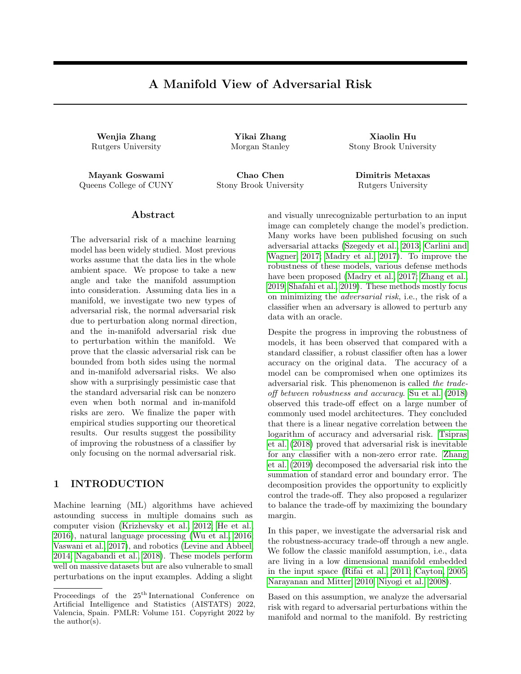*Proof.* Assume  $E(X; y)$  occurs, i.e,  $9x^0 \n\leq B(x)$ :  $f(x^0)y = 0$ . Either  $x^0 = x$  satisfies the condition (which is event  $E_1$ ) or some  $x^0 \notin X$  satisfies the condition.

Now we further divide into the case when  $f(x)y > 0$  and  $x^0$   $x \ge N_x \mathcal{M}$  (which is event  $E_2$ ), or  $f(x)y > 0$  and  $x^0$   $x \ge N_x \wedge N$ . In the latter case, note that  $x^{00} = (x^0)$  cannot equal x as otherwise  $x^0$  x would be in the normal space at  $X$ , since the projection map is unique inside the tubular neighborhood. Thus  $X^{\emptyset}$  is well-defined, and it is easy to see that the last two cases are disjoint and cover this remaining case. Thus we have shown that if  $E(x, y)$  occurs, then one of the four disjoint events  $E_i$  must occur, proving the lemma.

 $\Box$ 

Finally we have the following lemma, which completes the proof of the theorem after combining with Lemma 1. **Lemma 2.** The following relation holds between the risk and the expectation of the indicator functions in Lemma 1

1.  $E_{(x,y) \in p} 1(E_1(x; y)) = R_{std}(f)$ 2.  $E_{(x,y)} p^{-1}(E_2(x; y))$   $R_{adv}^{nor}(f; )$ 3.  $E_{(x,y)}[p^{-1}(E_3(x,y))$   $R_{adv}^{in}(f,2)$ 4.  $E_{(x,y)}[p^{-1}(E_4(x,y))$   $NNR(f; )$ 

Proof. 1) and 2) follow by definitions of standard adversarial risk and normal adversarial risk, respectively. Consider the setting of  $E_3(x, y)$ : i.e.,  $f(x)y > 0$ , the adversarial perturbation  $x^0$  is not in the normal direction (so  $f(x^0)y$  0), and  $f(x^{00})y$  0. Observe that by the triangle inequality,  $d(x; x^{00})$   $d(x; x^0) + d(x^0)$  $+ = 2$ , simply because a)  $x^{\theta}$  is within the -ball of x, and b)  $x^{\theta}$  is closer to  $x^{\theta}$  than x.

This means that there is a point  $x^{(0)} \, 2 B_2^{(n)}(x)$  such that  $f(x^{(0)})y = 0$ . The expectation over a random  $(x, y) = p$ of this event is clearly at most  $R_{adv}^{in}(f, 2)$  (the inequality need not be tight because x may have adversarial perturbation within 2 and also satisfy some other events like  $E_1$ ).

Lastly, by the definition of the NNR, we see that  $A(x, y)$  occurs when  $E_1(x, y)$  or  $E_2(x, y)$  do not. Also  $C(x, y)$ implies that the event  $E_3(x, y)$  does not occur. We are now in the situation where  $x^{(0)}$  is within 2 of x,  $f(x^0)y = 0$ , and  $f(x^{(0)})y > 0$ . But this implies that  $f(x^{(0)})f(x^{(0)})$  0, and since  $x^{(0)} \ge B^{nor}(x^{(0)})$ , it implies that  $B(x, y)$  occurs. Thus all of  $A(x; y)$ ,  $B(x; y)$  and  $C(x; y)$  occur, which is the definition of NNR.  $\Box$ 

#### Proof of ii)

If  $R_{adv}^{nor}(f; ) = 0$ , we claim that  $NNR(f; ) = 0$ . Setting these two terms to zero in i) proves ii).

Note that although  $R_{adv}^{nor}(f; ) = 0$ , it does not imply that there are no normal adversarial perturbations for any  $x$ — it just means that the measure of such  $x$  with normal adversarial perturbation is zero.

Also note that  $R_{adv}^{nor}(f; ) = 0$  does not exclude  $A(x; y)$  or  $C(x; y)$  from occurring (in fact A occurs for almost all x). Thus the proof will focus on the measure of points where  $B(x, y)$  can occur. We will prove the following lemma, which will complete the proof of the theorem.

**Lemma 3.** Let  $(x, y)$  be such that  $B(x, y)$  occurs, i.e., there exist  $x^0 \supseteq B(x)$  and  $x^{00} = (x)$  such that  $f(x^0)y = 0$ ,  $f(x^{(0)})y > 0$  and  $d(x; x^{(0)})$  2. Then  $C(x; y)$  cannot occur, i.e., there exists a point  $w \supseteq B_2^{in}(x)$  such that  $f(w)y$  0. Consequently,  $NNR(f; ) = 0$ .

*Proof.* We first claim that if  $B(x, y)$  occurs, it must be the case that  $f(x^{(0)}) = 0$ . Assuming this, if  $f(x^{(0)}) = 0$ , then by Assumption A we know there exists an  $S \supseteq B$  ( $x^{(0)} \setminus B_2$  (x) such that  $f(S)y = 0$ , which imply that  $C(x, y)$ cannot occur. This will complete the proof of the lemma.

To prove that  $f(x^{\omega}) = 0$ , consider what happens if  $f(x^{\omega}) \neq 0$ . Assume first that  $f(x^{\omega}) \neq 0$ , and note that  $f(x^0) f(x^{00}) = 0$ . By continuity of f, there exist open neighborhoods U 3  $x^{00}$  and V 3  $x^{0}$  such that f has the same sign on all of U and the same sign on all of V, i.e.,  $sign(f/U) = sign(f(x^{(0)}))$  and  $sign(f/V) = sign(f(x^{(0)}))$ .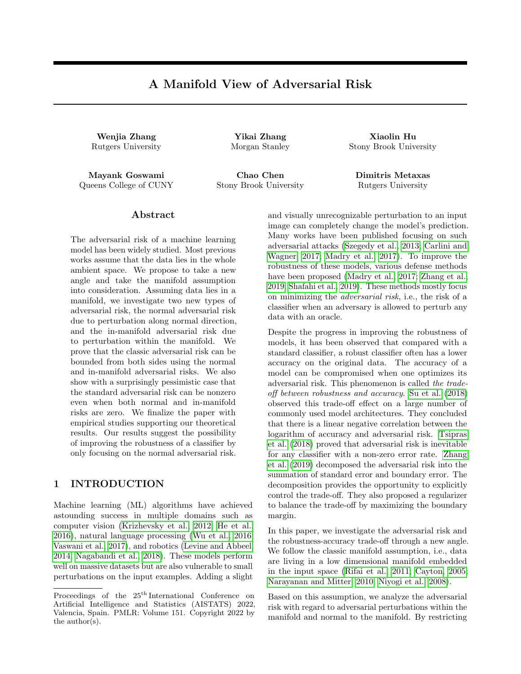Consider the normal bundle on U defined as the set  $U^{\ell} = fy \, 2 \, M : (y) \, 2 \, Ug$ . In other words,  $U^{\ell}$  is the union of the normal line segments passing through points in U (here  $\mathcal M$  denotes the tubular neighborhood of  $\mathcal M$ ). Note that  $U^{\theta}$  is an open set.

Define  $W^{\theta} = U^{\theta} \setminus V$ , and  $W = (W^{\theta})$ . W M is an open set, but for every  $W \supseteq W$ , there exists a point  $w^0 \n\supseteq W^0 \setminus B^{nor}(w)$  such that  $f(w^0) f(w) = 0$ . Therefore there exists anormal adversarial perturbation for every point in W. Since the measure of W is not zero, this contradicts the fact that  $R_{adv}^{nor}(f) = 0$ .

The proof is completed by observing that in the remaining case when  $f(x^{(0)}) \neq 0$  but  $f(x^{(0)}) = 0$ , there must exist (by assumption A) a point W near  $x^0$  such that  $f(w) \neq 0$  and  $f(w)y < 0$ . This lands us in the previous case, which we showed contradicts the hypothesis that  $R_{adv}^{nor}(f; ) = 0$ .  $\Box$ 

**Remark:** In Corollary [3,](#page-10-0)  $(\overline{Z^{nor}(f)} \setminus B_2 (Z^{nor}(f))$  is the NNR under deterministic case. Therefore, Corollary [3](#page-10-0) follows directly from the proof of Theorem 1.

### B ADDITIONAL EXPERIMENTS

In the main paper, we leave some experimental results to discuss in this supplementary materials. In the following section, we will first compare different ways of generating in-manifold attack data. In the later section, we compare the decision boundary of different classifiers. By visualization of the decision boundary, we aim to show that the defense training algorithm can defend the model against adversarial examples in the normal direction implying that the adversarial risk in the normal direction can be controlled.

Also, we need to mark out that when we have a small value. The RHS for classifier  $f^{nor}$  might be a little bit smaller than claim  $ii$ ) in Corollary [3.](#page-10-0) This is due to the fact that our way of computing measure  $(\overline{Z^{nor}(f)} \setminus B_2 \ (Z^{nor}(f))$  includes the standard risk  $R^{std}$  and normal risk  $R^{nor}$ . So the summation of  $(\overline{Z^{nor}(f)} \setminus B_2 \ (Z^{nor}(f))$  and  $R_{adv}^{in}$  forms the RHS. When we have a small value, the points with nonzero normal adversarial risk are concentrated near the decision boundary. Since we compute the  $(\overline{Z^{nor}(f)} \setminus$  $B_2$  ( $Z^{nor}(f)$ ) based on the ratio between the length of line segment (or area of cube in 3D) and the circumference of unit circle (or area of  $x_1x_2$ -plane unit square), the ratio could be close to zero. Therefore, we might have the value of RHS smaller than the summation of  $R_{adv}^{in} + R_{adv}^{std} + R_{adv}^{nor}$ . Aside from this, RHS still upper bounds  $R^{adv}$ in all cases.

#### B.1 In-Manifold Attack Algorithm

To estimate the *in-manifold adversarial risk*, we have tested two potential algorithms for generating in-manifold adversarial examples. We present our observations on these two methods. Our empirical study in the paper leverage one of the two methods presented below, which generates a more powerful in-manifold adversarial example.

One way to generate the adversarial samples is by brutal force. We use the grid search method to search the  $B^{in}(x)$  region and find the maximum loss point in that region. We treat the maximum loss point as the in-manifold adversarial data. We call this approach the grid search method. Another approach we name as the projected method. We set the step size of the grid search proportional to the perturbation budget . In general, we search 100 points in 1D cases and 400 points in the 2D manifold. In the projected method, we first use a general adversarial attack algorithm to generate adversarial data in ambient space. Then we project the generated adversarial example back to the manifold and return the results as our in-manifold adversarial data. In the following experiment, we use PGD as our generator of adversarial data in ambient space. Both methods will find in-manifold data that is adversarial to the given model. The rest of the experiment settings follow Section 3 in the main paper.

In Figure [4](#page-13-0) we plot the after-attack accuracy of these two in-manifold attack methods. The experiments follow the same setting as the one we described in the main paper. We could observe that the grid search is slightly stronger in the 3D single boundary case and equivalent to the projection method in the rest of the cases. In the graph, the after-attack accuracy of the grid search method matches with the projection methods in the 2D case. And in the 3D case, when the is larger than 0.5, then the grid search method achieves smaller after attack accuracy. This is due to the projection method searching the adversarial example in a smaller in-manifold ball.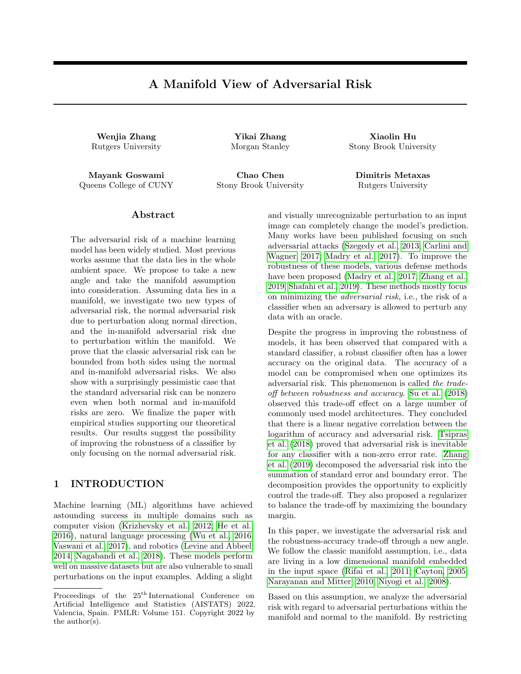

<span id="page-13-0"></span>Figure 4: We compare the grid search method and projection method to generate in-manifold attack data. The first row is after attack accuracy on the 2D data set. The blue line is the accuracy of the projection approach. Orange is for the grid search method. The range is smaller than the range we choose in the discussion of the main paper. This is because -budget is larger than 0.05. The after-attack accuracy remains zero. The lower row is after attack accuracy on two different 3D data sets.

In other words, it hasn't fully explored the ball around the original data point. Therefore we could observe this small gap between these two methods. In the paper, we rely on the grid search method for generating in-manifold adversarial examples.

Furthermore, we compute the in-manifold risk in Table 1 and 2 using the grid search method. We plot our results in Table [3](#page-14-0) and Table [4.](#page-14-1) Since the attack performance of the grid search approach is stronger than the projection approach, the upper bound holds. In Table [3](#page-14-0) and Table [4](#page-14-1) we could observe this result.

Comparing Table 1 and 1, we could see that  $R_{adv}^{in}$  in Table [3](#page-14-0) and Table [4](#page-14-1) has similar results. It implies that the projection method does not underestimate the upper in most cases. For the 3D double boundary dataset, the projection method has weaker results but the upper bound still holds. It implies that the upper bound in Corollary [3](#page-10-0) is loose in our study case. We could further prove a tighter upper bound in 3 claim  $(i)$ .

#### B.2 Decision Boundary Discussion

In this section, we explain one of our intuitions of deriving this decomposing. In geometry, we know that if the decision boundary of the classifier is perpendicular to the manifold, then along normal direction, it is hard to find an adversarial example that can successfully attack the model. Therefore, the general adversarial risk is owing to tangential or in-manifold direction perturbation. Under this setting classifiers with decision boundary perpendicular to the manifold in ambient space would have  $R_{adv}^{nor}$  equal zero. And this gives us claim *ii*) in theorem [3.](#page-10-0) In the following section, we will plot the classifier's decision boundary in ambient space to state that our intuition holds on the synthetic data set.

#### B.2.1 2D Decision Boundary

In the 2D synthetic data set, we plot multiple decision boundaries of  $f<sup>nor</sup>$  in the double decision boundary case. As we increase the budget in the defense algorithm (Algorithm 1 in the paper), the decision boundary becomes more perpendicular to the unit circle. And it matches the results for  $R_{adv}^{nor}(f^{nor})$  in Table 1. Around  $= 0.1$ ,  $R_{adv}^{nor}(f^{nor})$  achieves the minimum value. And we could observe that the shape of the decision boundary is perpendicular and matches with the true label.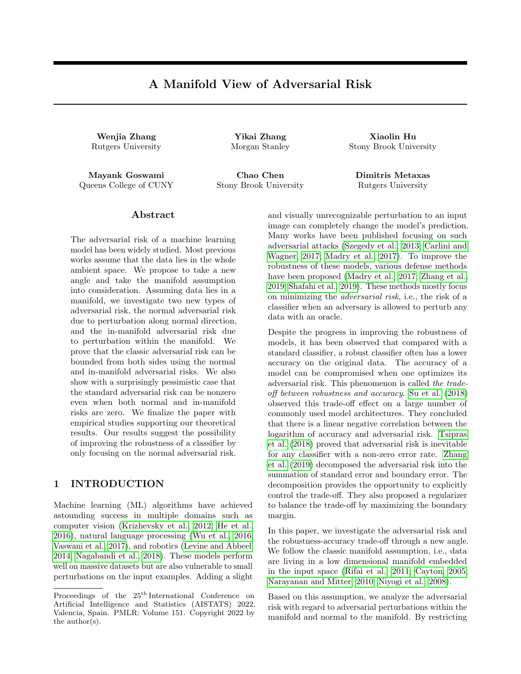<span id="page-14-0"></span>

| Single Boundary |           |            | $\overline{f}$ adv |            | f <sub>nor</sub>   |            |                              |                            |           |
|-----------------|-----------|------------|--------------------|------------|--------------------|------------|------------------------------|----------------------------|-----------|
|                 | $R^{adv}$ | <b>RHS</b> | $R^{\text{adv}}$   | <b>RHS</b> | $R^{\text{adv}}$   | <b>RHS</b> | $\overline{R_{adv}^{in}(2)}$ | $\overline{R_{adv}^{nor}}$ | $R_{std}$ |
| 0.01            | 0.0110    | 0.0200     | 0.0110             | 0.022      | 0.0090             | 0.0180     | 0.0100                       | 0.0050                     | 0.0050    |
| 0.02            | 0.0130    | 0.0426     | 0.0130             | 0.0425     | 0.0130             | 0.0439     | 0.0280                       | 0.0060                     | 0.0060    |
| $\,0.03\,$      | 0.0230    | 0.0499     | 0.0250             | 0.0595     | 0.0230             | 0.0613     | 0.0380                       | 0.0120                     | 0.0120    |
| $0.05\,$        | 0.0280    | 0.0871     | 0.0300             | 0.0881     | 0.0280             | 0.0843     | 0.0669                       | 0.0040                     | 0.0040    |
| 0.1             | 0.0709    | 0.1974     | 0.0699             | 0.2026     | 0.0709             | 0.1620     | 0.1300                       | 0.0                        | 0.0040    |
| $0.15\,$        | 0.0979    | 0.2721     | 0.1009             | 0.3243     | 0.1009             | 0.3225     | 0.2209                       | 0.0050                     | 0.0050    |
| 0.2             | 0.128     | 0.4063     | 0.126              | 0.4160     | 0.128              | 0.4206     | 0.2730                       | 0.0050                     | 0.0040    |
| $0.25\,$        | 0.1660    | 0.498      | 0.1630             | 0.5218     | 0.1660             | 0.5026     | 0.3299                       | 0.0040                     | 0.0040    |
| 0.3             | 0.1979    | 0.6117     | 0.1979             | 0.6239     | 0.1979             | 0.5005     | 0.4000                       | 0.0                        | $0.0\,$   |
|                 |           |            |                    |            |                    |            |                              |                            |           |
| Double Boundary |           | f          |                    | $f$ adv    |                    |            | f <sub>nor</sub>             |                            |           |
|                 | $R^{adv}$ | <b>RHS</b> | $R^{\text{adv}}$   | <b>RHS</b> | $R^{\mathit{adv}}$ | <b>RHS</b> | $R_{adv}^{in}(2)$            | $\overline{R_{adv}^{nor}}$ | $R_{std}$ |
| 0.01            | 0.0080    | 0.0404     | 0.0060             | 0.038      | 0.0070             | 0.0386     | 0.0290                       | 0.0030                     | 0.0030    |
| $0.02\,$        | 0.0240    | 0.0467     | 0.0230             | 0.0457     | 0.0240             | 0.0594     | 0.0390                       | 0.0050                     | 0.0050    |
| 0.03            | 0.0510    | 0.1279     | 0.0460             | 0.1309     | 0.0510             | 0.1273     | 0.0839                       | 0.0110                     | 0.0110    |
| 0.05            | 0.0620    | 0.1545     | 0.0620             | 0.1738     | 0.0629             | 0.1711     | 0.121                        | 0.0080                     | 0.0080    |
| 0.1             | 0.1170    | 0.4037     | 0.1169             | 0.5155     | 0.12               | 0.3076     | 0.273                        | 0.0060                     | 0.0060    |
| 0.15            | 0.1850    | 0.5649     | 0.1860             | 0.5619     | 0.1939             | 0.5768     | 0.368                        | 0.0040                     | 0.0040    |
| 0.2             | 0.242     | 0.8709     | 0.247              | 0.82       | 0.265              | 0.88       | 0.5429                       | 0.0060                     | 0.0050    |
| $0.25\,$        | 0.3139    | 1.         | 0.3169             | 1.         | 0.3239             | 1.         | 0.696                        | 0.0080                     | 0.0080    |

Table 3: Computing  $R_{adv}^{in}(f^{nor})$  using Grid Search methods for 2D data set

Table 4: Computing  $R_{adv}^{in}(f^{nor})$  using Grid Search methods for 3D data set

<span id="page-14-1"></span>

| Single Boundary | f                    |                | $\overline{\mathit{f}}$ adv |                    | $f{nor}$         |                |                      |                            |           |
|-----------------|----------------------|----------------|-----------------------------|--------------------|------------------|----------------|----------------------|----------------------------|-----------|
|                 | $\overline{R^{adv}}$ | <b>RHS</b>     | $R^{\text{adv}}$            | R <sub>H</sub>     | $R^{\text{adv}}$ | <b>RHS</b>     | $R_{adv}^{in}(2)$    | $\overline{R_{adv}^{nor}}$ | $R_{std}$ |
| 0.1             | 0.0450               | 0.0974         | 0.0410                      | 0.098              | 0.0470           | 0.0932         | 0.0889               | 0.0050                     | 0.0050    |
| $0.2\,$         | 0.1139               | 0.2062         | 0.0999                      | 0.2201             | 0.1099           | 0.2093         | 0.1879               | 0.0100                     | 0.0199    |
| 0.3             | 0.1550               | 0.3957         | 0.136                       | 0.3557             | 0.1540           | 0.3482         | 0.3020               | 0.0080                     | 0.0265    |
| 0.4             | 0.2089               | 0.5124         | 0.1680                      | 0.5008             | 0.2059           | 0.4729         | 0.375                | 0.0080                     | 0.0193    |
| $0.5\,$         | 0.247                | 0.6057         | 0.1860                      | 0.5405             | 0.250            | 0.6354         | 0.477                | 0.0040                     | 0.0174    |
| 0.6             | 0.2700               | 0.8444         | 0.2179                      | 0.6828             | 0.257            | 0.7169         | 0.5569               | 0.0090                     | 0.0153    |
| 0.7             | 0.2600               | 1.             | 0.2009                      | 0.8673             | 0.2731           | 0.8004         | 0.651                | 0.0030                     | 0.0139    |
| 0.8             | 0.2329               | 1.             | 0.1670                      | 1.                 | 0.2339           | 0.8774         | 0.702                | 0.0020                     | 0.0129    |
| Double Boundary |                      | f              |                             | $\overline{f}$ adv |                  |                | $f^{\overline{nor}}$ |                            |           |
|                 | $R^{adv}$            | R <sub>H</sub> | $R^{\text{adv}}$            | R <sub>H</sub>     | $R^{\text{adv}}$ | R <sub>H</sub> | $R_{adv}^{in}(2)$    | $\overline{R_{adv}^{nor}}$ | $R_{std}$ |
| 0.1             | 0.0649               | 0.1688         | 0.0789                      | 0.1517             | 0.0759           | 0.1624         | 0.1510               | 0.0130                     | 0.0140    |
| 0.15            | 0.1460               | 0.2581         | 0.1280                      | 0.228              | 0.1510           | 0.2405         | 0.2099               | 0.0220                     | 0.0270    |
| $0.2\,$         | 0.1700               | 0.3476         | 0.1370                      | 0.3174             | 0.1670           | 0.3441         | 0.2940               | 0.0170                     | 0.0170    |
| 0.25            | 0.2049               | 0.4700         | 0.1500                      | 0.4300             | 0.2099           | 0.4576         | 0.37                 | 0.0210                     | 0.0210    |
| 0.3             | 0.2159               | 0.5745         | 0.1810                      | 0.5240             | 0.2119           | 0.5331         | 0.4170               | 0.0190                     | 0.0190    |
| 0.35            | 0.275                | 0.5756         | 0.2039                      | 0.5469             | 0.2750           | 0.555          | 0.4280               | 0.0110                     | 0.0130    |
| 0.4             | 0.3000               | 0.76           | 0.2069                      | 0.7255             | 0.3040           | 0.8133         | 0.523                | 0.0520                     | 0.0080    |

#### B.2.2 3D Decision Boundary

In 3D cases, we plot the projection of points in ambient space back to the data manifold  $x_1x_2$ -plane. If the decision boundary is fully perpendicular to the  $x_1x_2$ -plane, the projection would have a clear separation and matches with the  $x_2 = \sin(x_1)$  boundary in the manifold. If not, we will have a region close to  $x_2 = \sin(x_1)$  with mixing red and blue points or the projection does not match with the in-manifold separation.